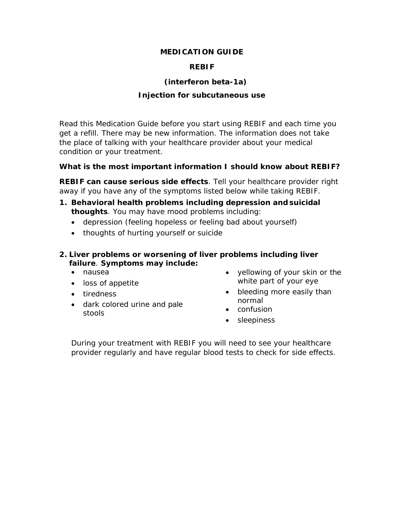#### **MEDICATION GUIDE**

#### **REBIF**

### **(interferon beta-1a)**

#### **Injection for subcutaneous use**

Read this Medication Guide before you start using REBIF and each time you get a refill. There may be new information. The information does not take the place of talking with your healthcare provider about your medical condition or your treatment.

#### **What is the most important information I should know about REBIF?**

**REBIF can cause serious side effects**. Tell your healthcare provider right away if you have any of the symptoms listed below while taking REBIF.

- **1. Behavioral health problems including depression andsuicidal thoughts**. You may have mood problems including:
	- depression (feeling hopeless or feeling bad about yourself)
	- thoughts of hurting yourself or suicide
- **2. Liver problems or worsening of liver problems including liver failure**. **Symptoms may include:**
	- nausea
	- loss of appetite
	- tiredness
	- dark colored urine and pale stools
- yellowing of your skin or the white part of your eye
- bleeding more easily than normal
- confusion
- sleepiness

During your treatment with REBIF you will need to see your healthcare provider regularly and have regular blood tests to check for side effects.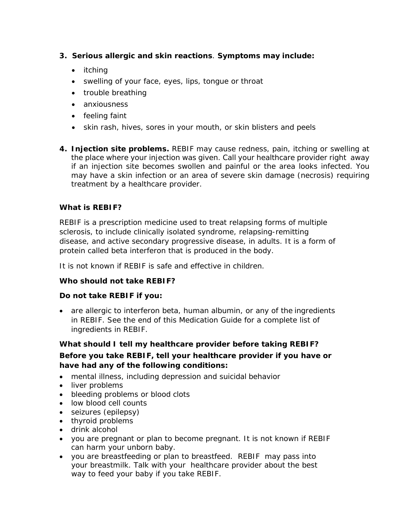- **3. Serious allergic and skin reactions**. **Symptoms may include:**
	- itching
	- swelling of your face, eyes, lips, tongue or throat
	- trouble breathing
	- anxiousness
	- feeling faint
	- skin rash, hives, sores in your mouth, or skin blisters and peels
- **4. Injection site problems.** REBIF may cause redness, pain, itching or swelling at the place where your injection was given. Call your healthcare provider right away if an injection site becomes swollen and painful or the area looks infected. You may have a skin infection or an area of severe skin damage (necrosis) requiring treatment by a healthcare provider.

### **What is REBIF?**

REBIF is a prescription medicine used to treat relapsing forms of multiple sclerosis, to include clinically isolated syndrome, relapsing-remitting disease, and active secondary progressive disease, in adults. It is a form of protein called beta interferon that is produced in the body.

It is not known if REBIF is safe and effective in children.

### **Who should not take REBIF?**

### **Do not take REBIF if you:**

• are allergic to interferon beta, human albumin, or any of the ingredients in REBIF. See the end of this Medication Guide for a complete list of ingredients in REBIF.

### **What should I tell my healthcare provider before taking REBIF?**

### **Before you take REBIF, tell your healthcare provider if you have or have had any of the following conditions:**

- mental illness, including depression and suicidal behavior
- liver problems
- bleeding problems or blood clots
- low blood cell counts
- seizures (epilepsy)
- thyroid problems
- drink alcohol
- you are pregnant or plan to become pregnant. It is not known if REBIF can harm your unborn baby.
- you are breastfeeding or plan to breastfeed. REBIF may pass into your breastmilk. Talk with your healthcare provider about the best way to feed your baby if you take REBIF.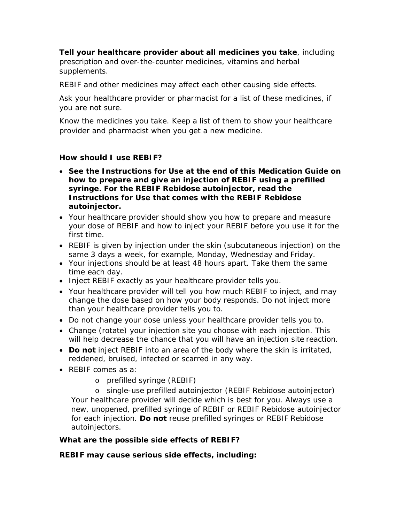**Tell your healthcare provider about all medicines you take**, including prescription and over-the-counter medicines, vitamins and herbal supplements.

REBIF and other medicines may affect each other causing side effects.

Ask your healthcare provider or pharmacist for a list of these medicines, if you are not sure.

Know the medicines you take. Keep a list of them to show your healthcare provider and pharmacist when you get a new medicine.

#### **How should I use REBIF?**

- **See the Instructions for Use at the end of this Medication Guide on how to prepare and give an injection of REBIF using a prefilled syringe. For the REBIF Rebidose autoinjector, read the Instructions for Use that comes with the REBIF Rebidose autoinjector.**
- Your healthcare provider should show you how to prepare and measure your dose of REBIF and how to inject your REBIF before you use it for the first time.
- REBIF is given by injection under the skin (subcutaneous injection) on the same 3 days a week, for example, Monday, Wednesday and Friday.
- Your injections should be at least 48 hours apart. Take them the same time each day.
- Inject REBIF exactly as your healthcare provider tells you.
- Your healthcare provider will tell you how much REBIF to inject, and may change the dose based on how your body responds. Do not inject more than your healthcare provider tells you to.
- Do not change your dose unless your healthcare provider tells you to.
- Change (rotate) your injection site you choose with each injection. This will help decrease the chance that you will have an injection site reaction.
- **Do not** inject REBIF into an area of the body where the skin is irritated, reddened, bruised, infected or scarred in any way.
- REBIF comes as a:
	- o prefilled syringe (REBIF)

o single-use prefilled autoinjector (REBIF Rebidose autoinjector) Your healthcare provider will decide which is best for you. Always use a new, unopened, prefilled syringe of REBIF or REBIF Rebidose autoinjector for each injection. **Do not** reuse prefilled syringes or REBIF Rebidose autoinjectors.

#### **What are the possible side effects of REBIF?**

#### **REBIF may cause serious side effects, including:**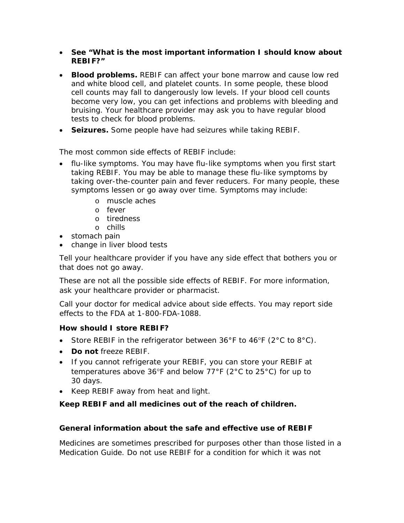- **See "What is the most important information I should know about REBIF?"**
- **Blood problems.** REBIF can affect your bone marrow and cause low red and white blood cell, and platelet counts. In some people, these blood cell counts may fall to dangerously low levels. If your blood cell counts become very low, you can get infections and problems with bleeding and bruising. Your healthcare provider may ask you to have regular blood tests to check for blood problems.
- **Seizures.** Some people have had seizures while taking REBIF.

The most common side effects of REBIF include:

- flu-like symptoms. You may have flu-like symptoms when you first start taking REBIF. You may be able to manage these flu-like symptoms by taking over-the-counter pain and fever reducers. For many people, these symptoms lessen or go away over time. Symptoms may include:
	- o muscle aches
	- o fever
	- o tiredness
	- o chills
- stomach pain
- change in liver blood tests

Tell your healthcare provider if you have any side effect that bothers you or that does not go away.

These are not all the possible side effects of REBIF. For more information, ask your healthcare provider or pharmacist.

Call your doctor for medical advice about side effects. You may report side effects to the FDA at 1-800-FDA-1088.

## **How should I store REBIF?**

- Store REBIF in the refrigerator between  $36^{\circ}F$  to  $46^{\circ}F$  (2 $^{\circ}C$  to  $8^{\circ}C$ ).
- **Do not** freeze REBIF.
- If you cannot refrigerate your REBIF, you can store your REBIF at temperatures above 36°F and below 77°F (2°C to 25°C) for up to 30 days.
- Keep REBIF away from heat and light.

## **Keep REBIF and all medicines out of the reach of children.**

### **General information about the safe and effective use of REBIF**

Medicines are sometimes prescribed for purposes other than those listed in a Medication Guide. Do not use REBIF for a condition for which it was not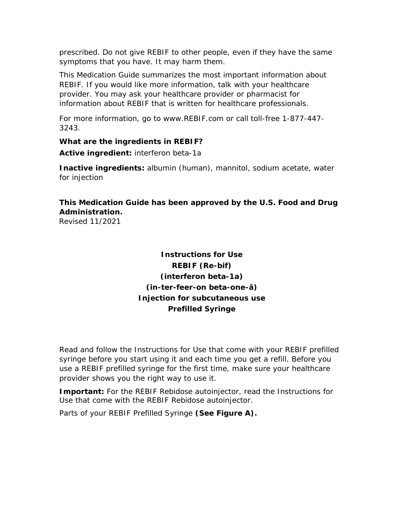prescribed. Do not give REBIF to other people, even if they have the same symptoms that you have. It may harm them.

This Medication Guide summarizes the most important information about REBIF. If you would like more information, talk with your healthcare provider. You may ask your healthcare provider or pharmacist for information about REBIF that is written for healthcare professionals.

For more information, go to [www.REBIF.com o](http://www.rebif.com/)r call toll-free 1-877-447- 3243.

#### **What are the ingredients in REBIF?**

**Active ingredient:** interferon beta-1a

**Inactive ingredients:** albumin (human), mannitol, sodium acetate, water for injection

## **This Medication Guide has been approved by the U.S. Food and Drug Administration.**

Revised 11/2021

# **Instructions for Use REBIF (Re-bif) (interferon beta-1a) (in-ter-feer-on beta-one-â) Injection for subcutaneous use Prefilled Syringe**

Read and follow the Instructions for Use that come with your REBIF prefilled syringe before you start using it and each time you get a refill. Before you use a REBIF prefilled syringe for the first time, make sure your healthcare provider shows you the right way to use it.

**Important:** For the REBIF Rebidose autoinjector, read the Instructions for Use that come with the REBIF Rebidose autoinjector.

Parts of your REBIF Prefilled Syringe **(See Figure A).**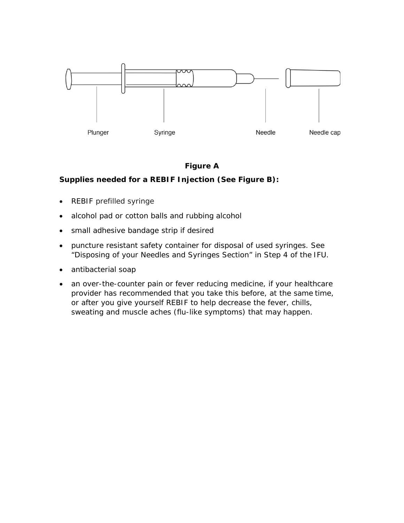

### **Figure A**

### **Supplies needed for a REBIF Injection (See Figure B):**

- REBIF prefilled syringe
- alcohol pad or cotton balls and rubbing alcohol
- small adhesive bandage strip if desired
- puncture resistant safety container for disposal of used syringes. See "Disposing of your Needles and Syringes Section" in Step 4 of the IFU.
- antibacterial soap
- an over-the-counter pain or fever reducing medicine, if your healthcare provider has recommended that you take this before, at the same time, or after you give yourself REBIF to help decrease the fever, chills, sweating and muscle aches (flu-like symptoms) that may happen.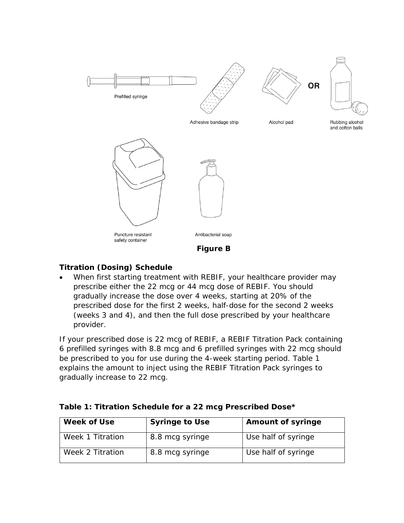

### **Titration (Dosing) Schedule**

• When first starting treatment with REBIF, your healthcare provider may prescribe either the 22 mcg or 44 mcg dose of REBIF. You should gradually increase the dose over 4 weeks, starting at 20% of the prescribed dose for the first 2 weeks, half-dose for the second 2 weeks (weeks 3 and 4), and then the full dose prescribed by your healthcare provider.

If your prescribed dose is 22 mcg of REBIF, a REBIF Titration Pack containing 6 prefilled syringes with 8.8 mcg and 6 prefilled syringes with 22 mcg should be prescribed to you for use during the 4-week starting period. Table 1 explains the amount to inject using the REBIF Titration Pack syringes to gradually increase to 22 mcg.

| Week of Use      | <b>Syringe to Use</b> | <b>Amount of syringe</b> |  |  |
|------------------|-----------------------|--------------------------|--|--|
| Week 1 Titration | 8.8 mcg syringe       | Use half of syringe      |  |  |
| Week 2 Titration | 8.8 mcg syringe       | Use half of syringe      |  |  |

## **Table 1: Titration Schedule for a 22 mcg Prescribed Dose\***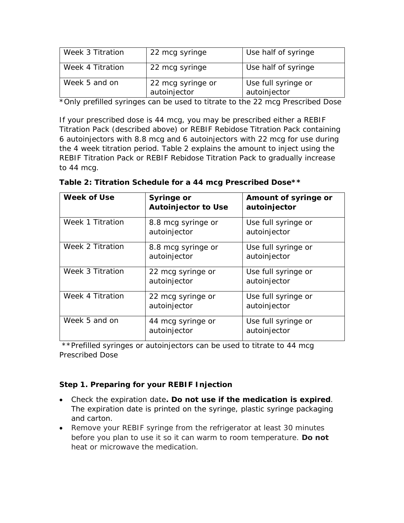| Week 3 Titration | 22 mcg syringe                    | Use half of syringe                 |
|------------------|-----------------------------------|-------------------------------------|
| Week 4 Titration | 22 mcg syringe                    | Use half of syringe                 |
| Week 5 and on    | 22 mcg syringe or<br>autoinjector | Use full syringe or<br>autoinjector |

\*Only prefilled syringes can be used to titrate to the 22 mcg Prescribed Dose

If your prescribed dose is 44 mcg, you may be prescribed either a REBIF Titration Pack (described above) or REBIF Rebidose Titration Pack containing 6 autoinjectors with 8.8 mcg and 6 autoinjectors with 22 mcg for use during the 4 week titration period. Table 2 explains the amount to inject using the REBIF Titration Pack or REBIF Rebidose Titration Pack to gradually increase to 44 mcg.

| <b>Week of Use</b> | <b>Syringe or</b><br><b>Autoinjector to Use</b> | Amount of syringe or<br>autoinjector |
|--------------------|-------------------------------------------------|--------------------------------------|
| Week 1 Titration   | 8.8 mcg syringe or<br>autoinjector              | Use full syringe or<br>autoinjector  |
| Week 2 Titration   | 8.8 mcg syringe or<br>autoinjector              | Use full syringe or<br>autoinjector  |
| Week 3 Titration   | 22 mcg syringe or<br>autoinjector               | Use full syringe or<br>autoinjector  |
| Week 4 Titration   | 22 mcg syringe or<br>autoinjector               | Use full syringe or<br>autoinjector  |
| Week 5 and on      | 44 mcg syringe or<br>autoinjector               | Use full syringe or<br>autoinjector  |

|  | Table 2: Titration Schedule for a 44 mcg Prescribed Dose** |  |  |  |
|--|------------------------------------------------------------|--|--|--|
|  |                                                            |  |  |  |

\*\*Prefilled syringes or autoinjectors can be used to titrate to 44 mcg Prescribed Dose

## **Step 1. Preparing for your REBIF Injection**

- Check the expiration date**. Do not use if the medication is expired**. The expiration date is printed on the syringe, plastic syringe packaging and carton.
- Remove your REBIF syringe from the refrigerator at least 30 minutes before you plan to use it so it can warm to room temperature. **Do not**  heat or microwave the medication.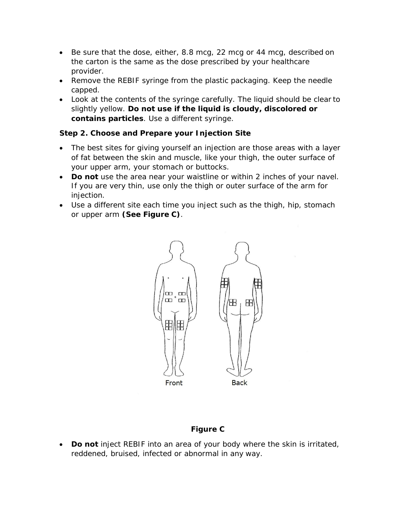- Be sure that the dose, either, 8.8 mcg, 22 mcg or 44 mcg, described on the carton is the same as the dose prescribed by your healthcare provider.
- Remove the REBIF syringe from the plastic packaging. Keep the needle capped.
- Look at the contents of the syringe carefully. The liquid should be clear to slightly yellow. **Do not use if the liquid is cloudy, discolored or contains particles**. Use a different syringe.

### **Step 2. Choose and Prepare your Injection Site**

- The best sites for giving yourself an injection are those areas with a layer of fat between the skin and muscle, like your thigh, the outer surface of your upper arm, your stomach or buttocks.
- **Do not** use the area near your waistline or within 2 inches of your navel. If you are very thin, use only the thigh or outer surface of the arm for injection.
- Use a different site each time you inject such as the thigh, hip, stomach or upper arm **(See Figure C)**.



## **Figure C**

• **Do not** inject REBIF into an area of your body where the skin is irritated, reddened, bruised, infected or abnormal in any way.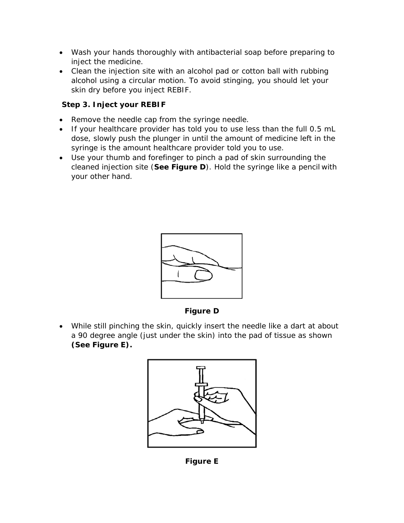- Wash your hands thoroughly with antibacterial soap before preparing to inject the medicine.
- Clean the injection site with an alcohol pad or cotton ball with rubbing alcohol using a circular motion. To avoid stinging, you should let your skin dry before you inject REBIF.

## **Step 3. Inject your REBIF**

- Remove the needle cap from the syringe needle.
- If your healthcare provider has told you to use less than the full 0.5 mL dose, slowly push the plunger in until the amount of medicine left in the syringe is the amount healthcare provider told you to use.
- Use your thumb and forefinger to pinch a pad of skin surrounding the cleaned injection site (**See Figure D**). Hold the syringe like a pencil with your other hand.



**Figure D**

• While still pinching the skin, quickly insert the needle like a dart at about a 90 degree angle (just under the skin) into the pad of tissue as shown **(See Figure E).**



**Figure E**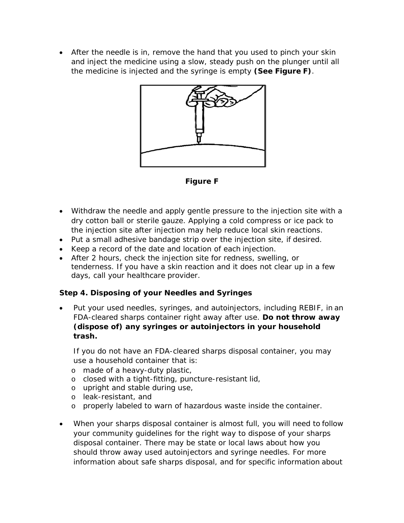• After the needle is in, remove the hand that you used to pinch your skin and inject the medicine using a slow, steady push on the plunger until all the medicine is injected and the syringe is empty **(See Figure F)**.



**Figure F**

- Withdraw the needle and apply gentle pressure to the injection site with a dry cotton ball or sterile gauze. Applying a cold compress or ice pack to the injection site after injection may help reduce local skin reactions.
- Put a small adhesive bandage strip over the injection site, if desired.
- Keep a record of the date and location of each injection.
- After 2 hours, check the injection site for redness, swelling, or tenderness. If you have a skin reaction and it does not clear up in a few days, call your healthcare provider.

## **Step 4. Disposing of your Needles and Syringes**

Put your used needles, syringes, and autoinjectors, including REBIF, in an FDA-cleared sharps container right away after use. **Do not throw away (dispose of) any syringes or autoinjectors in your household trash.**

If you do not have an FDA-cleared sharps disposal container, you may use a household container that is:

- o made of a heavy-duty plastic,
- o closed with a tight-fitting, puncture-resistant lid,
- o upright and stable during use,
- o leak-resistant, and
- o properly labeled to warn of hazardous waste inside the container.
- When your sharps disposal container is almost full, you will need to follow your community guidelines for the right way to dispose of your sharps disposal container. There may be state or local laws about how you should throw away used autoinjectors and syringe needles. For more information about safe sharps disposal, and for specific information about